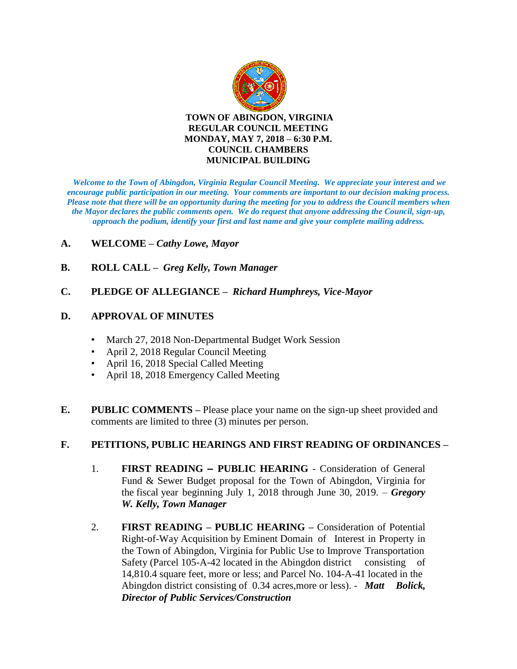

*Welcome to the Town of Abingdon, Virginia Regular Council Meeting. We appreciate your interest and we encourage public participation in our meeting. Your comments are important to our decision making process. Please note that there will be an opportunity during the meeting for you to address the Council members when the Mayor declares the public comments open. We do request that anyone addressing the Council, sign-up, approach the podium, identify your first and last name and give your complete mailing address.* 

#### **A. WELCOME –** *Cathy Lowe, Mayor*

- **B. ROLL CALL** *Greg Kelly, Town Manager*
- **C. PLEDGE OF ALLEGIANCE** *Richard Humphreys, Vice-Mayor*

#### **D. APPROVAL OF MINUTES**

- March 27, 2018 Non-Departmental Budget Work Session
- April 2, 2018 Regular Council Meeting
- April 16, 2018 Special Called Meeting
- April 18, 2018 Emergency Called Meeting
- **E. PUBLIC COMMENTS –** Please place your name on the sign-up sheet provided and comments are limited to three (3) minutes per person.

#### **F. PETITIONS, PUBLIC HEARINGS AND FIRST READING OF ORDINANCES –**

- 1. **FIRST READING – PUBLIC HEARING**  Consideration of General Fund & Sewer Budget proposal for the Town of Abingdon, Virginia for the fiscal year beginning July 1, 2018 through June 30, 2019. – *Gregory W. Kelly, Town Manager*
- 2. **FIRST READING – PUBLIC HEARING –** Consideration of Potential Right-of-Way Acquisition by Eminent Domain of Interest in Property in the Town of Abingdon, Virginia for Public Use to Improve Transportation Safety (Parcel 105-A-42 located in the Abingdon district consisting of 14,810.4 square feet, more or less; and Parcel No. 104-A-41 located in the Abingdon district consisting of 0.34 acres,more or less). - *Matt Bolick, Director of Public Services/Construction*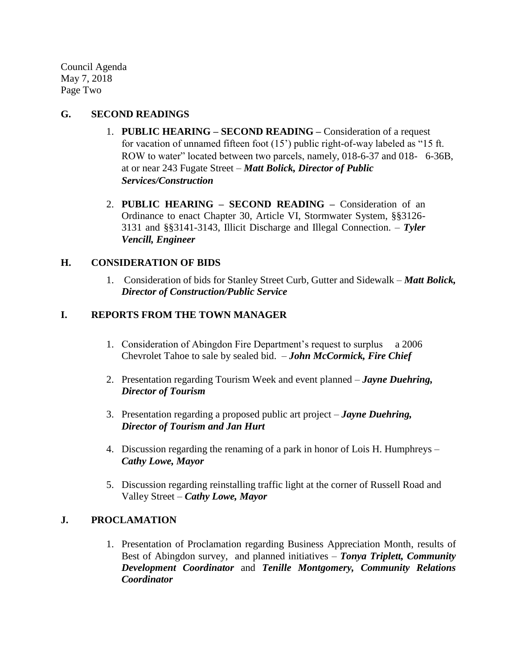Council Agenda May 7, 2018 Page Two

#### **G. SECOND READINGS**

- 1. **PUBLIC HEARING – SECOND READING –** Consideration of a request for vacation of unnamed fifteen foot (15') public right-of-way labeled as "15 ft. ROW to water" located between two parcels, namely, 018-6-37 and 018- 6-36B, at or near 243 Fugate Street – *Matt Bolick, Director of Public Services/Construction*
- 2. **PUBLIC HEARING – SECOND READING –** Consideration of an Ordinance to enact Chapter 30, Article VI, Stormwater System, §§3126- 3131 and §§3141-3143, Illicit Discharge and Illegal Connection. – *Tyler Vencill, Engineer*

# **H. CONSIDERATION OF BIDS**

1. Consideration of bids for Stanley Street Curb, Gutter and Sidewalk – *Matt Bolick, Director of Construction/Public Service*

## **I. REPORTS FROM THE TOWN MANAGER**

- 1. Consideration of Abingdon Fire Department's request to surplus a 2006 Chevrolet Tahoe to sale by sealed bid. – *John McCormick, Fire Chief*
- 2. Presentation regarding Tourism Week and event planned *Jayne Duehring, Director of Tourism*
- 3. Presentation regarding a proposed public art project *Jayne Duehring, Director of Tourism and Jan Hurt*
- 4. Discussion regarding the renaming of a park in honor of Lois H. Humphreys *Cathy Lowe, Mayor*
- 5. Discussion regarding reinstalling traffic light at the corner of Russell Road and Valley Street – *Cathy Lowe, Mayor*

## **J. PROCLAMATION**

1. Presentation of Proclamation regarding Business Appreciation Month, results of Best of Abingdon survey, and planned initiatives – *Tonya Triplett, Community Development Coordinator* and *Tenille Montgomery, Community Relations Coordinator*